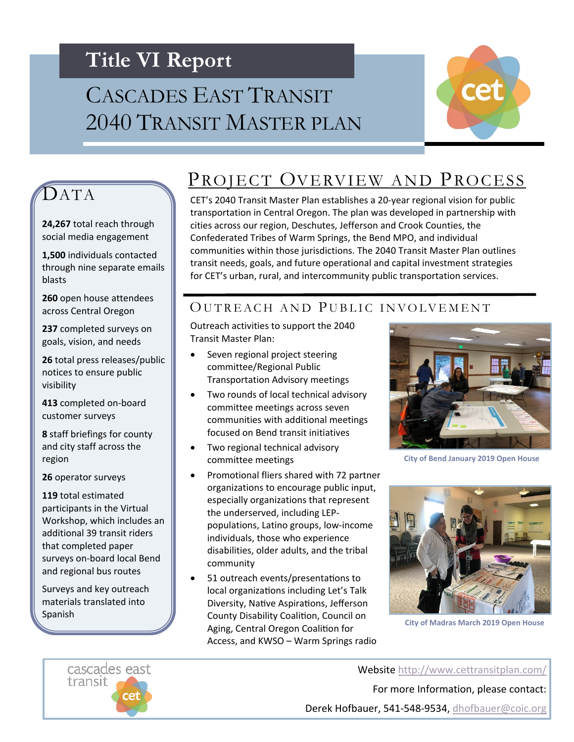## **Title VI Report**

# CASCADES EAST TRANSIT 2040 TRANSIT MASTER PLAN



### **DATA**

**24,267** total reach through social media engagement

throu[gh nine sepa](http://tran/)rate emails **1,500** individuals contacted blasts

**260** open house attendees across Central Oregon

**237** completed surveys on goals, vision, and needs

**26** total press releases/public notices to ensure public visibility

**413** completed on-board customer surveys

**8** staff briefings for county and city staff across the region

**26** operator surveys

**119** total estimated participants in the Virtual Workshop, which includes an additional 39 transit riders that completed paper surveys on-board local Bend and regional bus routes

Surveys and key outreach materials translated into Spanish

#### PROJECT OVERVIEW AND PROCESS

CET's 2040 Transit Master Plan establishes a 20-year regional vision for public transportation in Central Oregon. The plan was developed in partnership with cities across our region, Deschutes, Jefferson and Crook Counties, the Confederated Tribes of Warm Springs, the Bend MPO, and individual communities within those jurisdictions. The 2040 Transit Master Plan outlines transit needs, goals, and future operational and capital investment strategies for CET's urban, rural, and intercommunity public transportation services.

#### OUTREACH AND PUBLIC INVOLVEMENT

Outreach activities to support the 2040 Transit Master Plan:

- Seven regional project steering committee/Regional Public Transportation Advisory meetings
- Two rounds of local technical advisory committee meetings across seven communities with additional meetings focused on Bend transit initiatives
- Two regional technical advisory committee meetings
- Promotional fliers shared with 72 partner organizations to encourage public input, especially organizations that represent the underserved, including LEPpopulations, Latino groups, low-income individuals, those who experience disabilities, older adults, and the tribal community
- 51 outreach events/presentations to local organizations including Let's Talk Diversity, Native Aspirations, Jefferson County Disability Coalition, Council on Aging, Central Oregon Coalition for Access, and KWSO – Warm Springs radio

interviews



**City of Bend January 2019 Open House**



**City of Madras March 2019 Open House**

Website <http://www.cettransitplan.com/> For more Information, please contact:

Derek Hofbauer, 541-548-9534, [dhofbauer@coic.org](mailto:dhofbauer@coic.org)